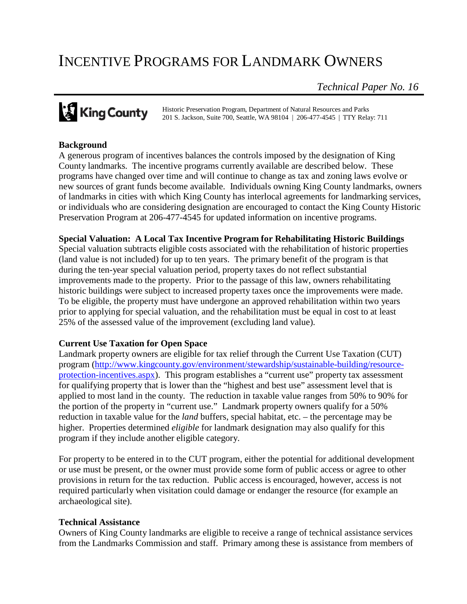# INCENTIVE PROGRAMS FOR LANDMARK OWNERS

*Technical Paper No. 16*

# **King County**

Historic Preservation Program, Department of Natural Resources and Parks 201 S. Jackson, Suite 700, Seattle, WA 98104 | 206-477-4545 | TTY Relay: 711

# **Background**

A generous program of incentives balances the controls imposed by the designation of King County landmarks. The incentive programs currently available are described below. These programs have changed over time and will continue to change as tax and zoning laws evolve or new sources of grant funds become available. Individuals owning King County landmarks, owners of landmarks in cities with which King County has interlocal agreements for landmarking services, or individuals who are considering designation are encouraged to contact the King County Historic Preservation Program at 206-477-4545 for updated information on incentive programs.

## **Special Valuation: A Local Tax Incentive Program for Rehabilitating Historic Buildings**

Special valuation subtracts eligible costs associated with the rehabilitation of historic properties (land value is not included) for up to ten years. The primary benefit of the program is that during the ten-year special valuation period, property taxes do not reflect substantial improvements made to the property. Prior to the passage of this law, owners rehabilitating historic buildings were subject to increased property taxes once the improvements were made. To be eligible, the property must have undergone an approved rehabilitation within two years prior to applying for special valuation, and the rehabilitation must be equal in cost to at least 25% of the assessed value of the improvement (excluding land value).

# **Current Use Taxation for Open Space**

Landmark property owners are eligible for tax relief through the Current Use Taxation (CUT) program [\(http://www.kingcounty.gov/environment/stewardship/sustainable-building/resource](http://www.kingcounty.gov/environment/stewardship/sustainable-building/resource-protection-incentives.aspx)[protection-incentives.aspx\)](http://www.kingcounty.gov/environment/stewardship/sustainable-building/resource-protection-incentives.aspx). This program establishes a "current use" property tax assessment for qualifying property that is lower than the "highest and best use" assessment level that is applied to most land in the county. The reduction in taxable value ranges from 50% to 90% for the portion of the property in "current use." Landmark property owners qualify for a 50% reduction in taxable value for the *land* buffers, special habitat, etc. – the percentage may be higher. Properties determined *eligible* for landmark designation may also qualify for this program if they include another eligible category.

For property to be entered in to the CUT program, either the potential for additional development or use must be present, or the owner must provide some form of public access or agree to other provisions in return for the tax reduction. Public access is encouraged, however, access is not required particularly when visitation could damage or endanger the resource (for example an archaeological site).

#### **Technical Assistance**

Owners of King County landmarks are eligible to receive a range of technical assistance services from the Landmarks Commission and staff. Primary among these is assistance from members of